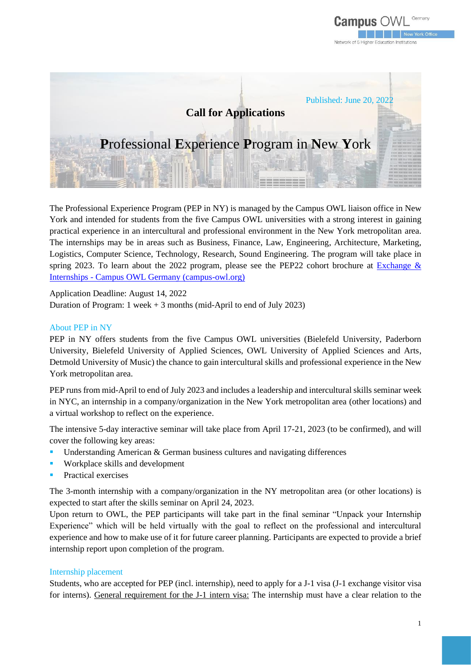



The Professional Experience Program (PEP in NY) is managed by the Campus OWL liaison office in New York and intended for students from the five Campus OWL universities with a strong interest in gaining practical experience in an intercultural and professional environment in the New York metropolitan area. The internships may be in areas such as Business, Finance, Law, Engineering, Architecture, Marketing, Logistics, Computer Science, Technology, Research, Sound Engineering. The program will take place in spring 2023. To learn about the 2022 program, please see the PEP22 cohort brochure at Exchange  $\&$ Internships - [Campus OWL Germany \(campus-owl.org\)](https://www.campus-owl.org/experience-abroad/)

Application Deadline: August 14, 2022 Duration of Program: 1 week + 3 months (mid-April to end of July 2023)

#### About PEP in NY

PEP in NY offers students from the five Campus OWL universities (Bielefeld University, Paderborn University, Bielefeld University of Applied Sciences, OWL University of Applied Sciences and Arts, Detmold University of Music) the chance to gain intercultural skills and professional experience in the New York metropolitan area.

PEP runs from mid-April to end of July 2023 and includes a leadership and intercultural skills seminar week in NYC, an internship in a company/organization in the New York metropolitan area (other locations) and a virtual workshop to reflect on the experience.

The intensive 5-day interactive seminar will take place from April 17-21, 2023 (to be confirmed), and will cover the following key areas:

- Understanding American  $&$  German business cultures and navigating differences
- Workplace skills and development
- Practical exercises

The 3-month internship with a company/organization in the NY metropolitan area (or other locations) is expected to start after the skills seminar on April 24, 2023.

Upon return to OWL, the PEP participants will take part in the final seminar "Unpack your Internship Experience" which will be held virtually with the goal to reflect on the professional and intercultural experience and how to make use of it for future career planning. Participants are expected to provide a brief internship report upon completion of the program.

#### Internship placement

Students, who are accepted for PEP (incl. internship), need to apply for a J-1 visa (J-1 exchange visitor visa for interns). General requirement for the J-1 intern visa: The internship must have a clear relation to the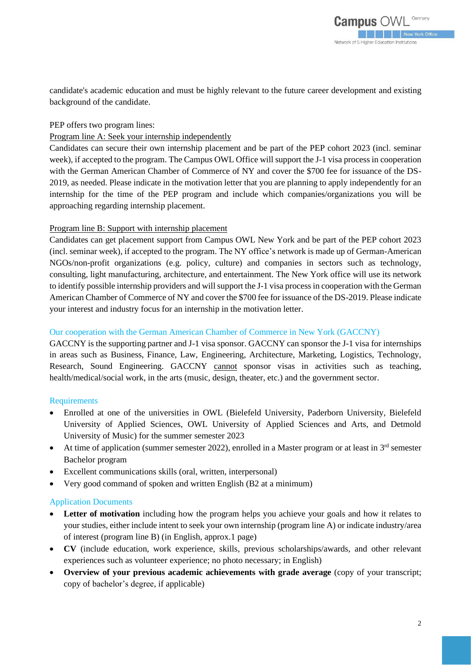candidate's academic education and must be highly relevant to the future career development and existing background of the candidate.

PEP offers two program lines:

### Program line A: Seek your internship independently

Candidates can secure their own internship placement and be part of the PEP cohort 2023 (incl. seminar week), if accepted to the program. The Campus OWL Office will support the J-1 visa process in cooperation with the German American Chamber of Commerce of NY and cover the \$700 fee for issuance of the DS-2019, as needed. Please indicate in the motivation letter that you are planning to apply independently for an internship for the time of the PEP program and include which companies/organizations you will be approaching regarding internship placement.

### Program line B: Support with internship placement

Candidates can get placement support from Campus OWL New York and be part of the PEP cohort 2023 (incl. seminar week), if accepted to the program. The NY office's network is made up of German-American NGOs/non-profit organizations (e.g. policy, culture) and companies in sectors such as technology, consulting, light manufacturing, architecture, and entertainment. The New York office will use its network to identify possible internship providers and will support the J-1 visa process in cooperation with the German American Chamber of Commerce of NY and cover the \$700 fee for issuance of the DS-2019. Please indicate your interest and industry focus for an internship in the motivation letter.

### Our cooperation with the German American Chamber of Commerce in New York (GACCNY)

GACCNY is the supporting partner and J-1 visa sponsor. GACCNY can sponsor the J-1 visa for internships in areas such as Business, Finance, Law, Engineering, Architecture, Marketing, Logistics, Technology, Research, Sound Engineering. GACCNY cannot sponsor visas in activities such as teaching, health/medical/social work, in the arts (music, design, theater, etc.) and the government sector.

## Requirements

- Enrolled at one of the universities in OWL (Bielefeld University, Paderborn University, Bielefeld University of Applied Sciences, OWL University of Applied Sciences and Arts, and Detmold University of Music) for the summer semester 2023
- At time of application (summer semester 2022), enrolled in a Master program or at least in  $3<sup>rd</sup>$  semester Bachelor program
- Excellent communications skills (oral, written, interpersonal)
- Very good command of spoken and written English (B2 at a minimum)

## Application Documents

- **Letter of motivation** including how the program helps you achieve your goals and how it relates to your studies, either include intent to seek your own internship (program line A) or indicate industry/area of interest (program line B) (in English, approx.1 page)
- **CV** (include education, work experience, skills, previous scholarships/awards, and other relevant experiences such as volunteer experience; no photo necessary; in English)
- **Overview of your previous academic achievements with grade average** (copy of your transcript; copy of bachelor's degree, if applicable)